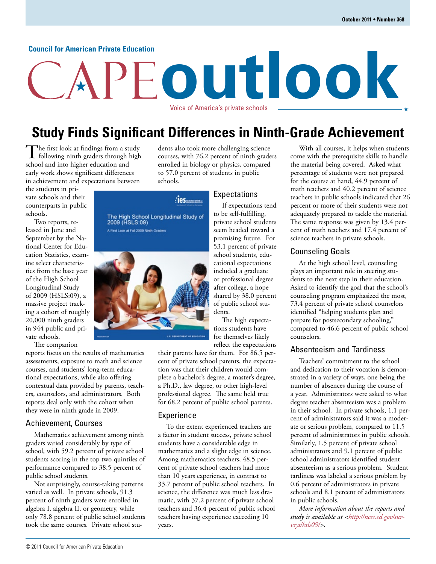#### **Council for American Private Education**

# **outlook** Voice of America's private schools

## **Study Finds Significant Differences in Ninth-Grade Achievement**

The first look at findings from a study<br>following ninth graders through high school and into higher education and early work shows significant differences in achievement and expectations between

the students in private schools and their counterparts in public schools.

Two reports, released in June and September by the National Center for Education Statistics, examine select characteristics from the base year of the High School Longitudinal Study of 2009 (HSLS:09), a massive project tracking a cohort of roughly 20,000 ninth graders in 944 public and private schools.

The companion

reports focus on the results of mathematics assessments, exposure to math and science courses, and students' long-term educational expectations, while also offering contextual data provided by parents, teachers, counselors, and administrators. Both reports deal only with the cohort when they were in ninth grade in 2009.

#### Achievement, Courses

Mathematics achievement among ninth graders varied considerably by type of school, with 59.2 percent of private school students scoring in the top two quintiles of performance compared to 38.5 percent of public school students.

Not surprisingly, course-taking patterns varied as well. In private schools, 91.3 percent of ninth graders were enrolled in algebra I, algebra II, or geometry, while only 78.8 percent of public school students took the same courses. Private school students also took more challenging science courses, with 76.2 percent of ninth graders enrolled in biology or physics, compared to 57.0 percent of students in public schools.

> If expectations tend to be self-fulfilling, private school students seem headed toward a promising future. For 53.1 percent of private school students, educational expectations included a graduate or professional degree after college, a hope shared by 38.0 percent of public school stu-

The high expectations students have for themselves likely

#### Expectations :les manas

The High School Longitudinal Study of<br>2009 (HSLS:09) A First Look at Fall 2009 Ninth-Graders



reflect the expectations their parents have for them. For 86.5 percent of private school parents, the expectation was that their children would complete a bachelor's degree, a master's degree, a Ph.D., law degree, or other high-level professional degree. The same held true for 68.2 percent of public school parents.

dents.

#### **Experience**

To the extent experienced teachers are a factor in student success, private school students have a considerable edge in mathematics and a slight edge in science. Among mathematics teachers, 48.5 percent of private school teachers had more than 10 years experience, in contrast to 33.7 percent of public school teachers. In science, the difference was much less dramatic, with 37.2 percent of private school teachers and 36.4 percent of public school teachers having experience exceeding 10 years.

#### the material being covered. Asked what percentage of students were not prepared for the course at hand, 44.9 percent of math teachers and 40.2 percent of science teachers in public schools indicated that 26 percent or more of their students were not adequately prepared to tackle the material. The same response was given by 13.4 percent of math teachers and 17.4 percent of science teachers in private schools.

With all courses, it helps when students come with the prerequisite skills to handle

#### Counseling Goals

At the high school level, counseling plays an important role in steering students to the next step in their education. Asked to identify the goal that the school's counseling program emphasized the most, 73.4 percent of private school counselors identified "helping students plan and prepare for postsecondary schooling," compared to 46.6 percent of public school counselors.

#### Absenteeism and Tardiness

Teachers' commitment to the school and dedication to their vocation is demonstrated in a variety of ways, one being the number of absences during the course of a year. Administrators were asked to what degree teacher absenteeism was a problem in their school. In private schools, 1.1 percent of administrators said it was a moderate or serious problem, compared to 11.5 percent of administrators in public schools. Similarly, 1.5 percent of private school administrators and 9.1 percent of public school administrators identified student absenteeism as a serious problem. Student tardiness was labeled a serious problem by 0.6 percent of administrators in private schools and 8.1 percent of administrators in public schools.

*More information about the reports and [study is available at <http://nces.ed.gov/sur](http://nces.ed.gov/surveys/hsls09/)veys/hsls09/>.*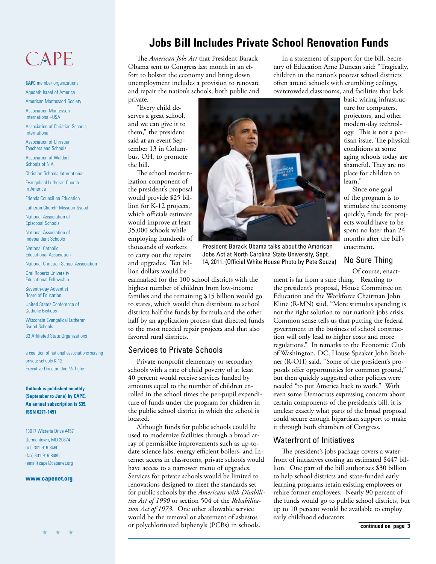## CAPE

**CAPE** member organizations: Agudath Israel of America

American Montessori Society

Association Montessori International–USA

Association of Christian Schools International

Association of Christian Teachers and Schools

Association of Waldorf Schools of N.A.

Christian Schools International

Evangelical Lutheran Church in America

Friends Council on Education

Lutheran Church–Missouri Synod

National Association of Episcopal Schools

National Association of Independent Schools

National Catholic Educational Association

National Christian School Association

Oral Roberts University Educational Fellowship

Seventh-day Adventist Board of Education

United States Conference of Catholic Bishops

Wisconsin Evangelical Lutheran Synod Schools

33 Affiliated State Organizations

a coalition of national associations serving private schools K-12 Executive Director: Joe McTighe

**Outlook is published monthly (September to June) by CAPE. An annual subscription is \$35. ISSN 0271-1451**

13017 Wisteria Drive #457 Germantown, MD 20874 (tel) 301-916-8460 (fax) 301-916-8485 (email) cape@capenet.org

#### **www.capenet.org**

## **Jobs Bill Includes Private School Renovation Funds**

The *American Jobs Act* that President Barack Obama sent to Congress last month in an effort to bolster the economy and bring down unemployment includes a provision to renovate and repair the nation's schools, both public and

private. "Every child deserves a great school, and we can give it to them," the president said at an event September 13 in Columbus, OH, to promote the bill.

The school modernization component of the president's proposal would provide \$25 billion for K-12 projects, which officials estimate would improve at least 35,000 schools while employing hundreds of thousands of workers to carry out the repairs and upgrades. Ten billion dollars would be

earmarked for the 100 school districts with the highest number of children from low-income families and the remaining \$15 billion would go to states, which would then distribute to school districts half the funds by formula and the other half by an application process that directed funds to the most needed repair projects and that also favored rural districts.

#### Services to Private Schools

Private nonprofit elementary or secondary schools with a rate of child poverty of at least 40 percent would receive services funded by amounts equal to the number of children enrolled in the school times the per-pupil expenditure of funds under the program for children in the public school district in which the school is located.

Although funds for public schools could be used to modernize facilities through a broad array of permissible improvements such as up-todate science labs, energy efficient boilers, and Internet access in classrooms, private schools would have access to a narrower menu of upgrades. Services for private schools would be limited to renovations designed to meet the standards set for public schools by the *Americans with Disabilities Act of 1990* or section 504 of the *Rehabilitation Act of 1973*. One other allowable service would be the removal or abatement of asbestos or polychlorinated biphenyls (PCBs) in schools.

In a statement of support for the bill, Secretary of Education Arne Duncan said: "Tragically, children in the nation's poorest school districts often attend schools with crumbling ceilings, overcrowded classrooms, and facilities that lack

basic wiring infrastructure for computers, projectors, and other modern-day technology. This is not a partisan issue. The physical conditions at some aging schools today are shameful. They are no place for children to learn."

Since one goal of the program is to stimulate the economy quickly, funds for projects would have to be spent no later than 24 months after the bill's enactment.

#### No Sure Thing

Of course, enact-

ment is far from a sure thing. Reacting to the president's proposal, House Committee on Education and the Workforce Chairman John Kline (R-MN) said, "More stimulus spending is not the right solution to our nation's jobs crisis. Common sense tells us that putting the federal government in the business of school construction will only lead to higher costs and more regulations." In remarks to the Economic Club of Washington, DC, House Speaker John Boehner (R-OH) said, "Some of the president's proposals offer opportunities for common ground," but then quickly suggested other policies were needed "to put America back to work." With even some Democrats expressing concern about certain components of the president's bill, it is unclear exactly what parts of the broad proposal could secure enough bipartisan support to make it through both chambers of Congress.

#### Waterfront of Initiatives

The president's jobs package covers a waterfront of initiatives costing an estimated \$447 billion. One part of the bill authorizes \$30 billion to help school districts and state-funded early learning programs retain existing employees or rehire former employees. Nearly 90 percent of the funds would go to public school districts, but up to 10 percent would be available to employ early childhood educators.



President Barack Obama talks about the American Jobs Act at North Carolina State University, Sept. 14, 2011. (Official White House Photo by Pete Souza)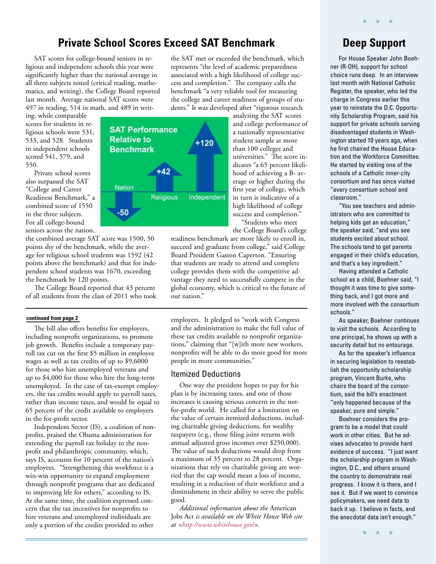## **Private School Scores Exceed SAT Benchmark**

SAT scores for college-bound seniors in religious and independent schools this year were significantly higher than the national average in all three subjects tested (critical reading, mathematics, and writing), the College Board reported last month. Average national SAT scores were 497 in reading, 514 in math, and 489 in writ-

ing, while comparable scores for students in religious schools were 531, 533, and 528. Students in independent schools scored 541, 579, and 550.

Private school scores also surpassed the SAT "College and Career Readiness Benchmark," a combined score of 1550 in the three subjects. For all college-bound seniors across the nation,

the combined average SAT score was 1500, 50 points shy of the benchmark, while the average for religious school students was 1592 (42 points above the benchmark) and that for independent school students was 1670, exceeding the benchmark by 120 points.

The College Board reported that 43 percent of all students from the class of 2011 who took

#### **continued from page 2**

The bill also offers benefits for employers, including nonprofit organizations, to promote job growth. Benefits include a temporary payroll tax cut on the first \$5 million in employee wages as well as tax credits of up to \$9,6000 for those who hire unemployed veterans and up to \$4,000 for those who hire the long-term unemployed. In the case of tax-exempt employers, the tax credits would apply to payroll taxes, rather than income taxes, and would be equal to 65 percent of the credit available to employers in the for-profit sector.

Independent Sector (IS), a coalition of nonprofits, praised the Obama administration for extending the payroll tax holiday to the nonprofit and philanthropic community, which, says IS, accounts for 10 percent of the nation's employees. "Strengthening this workforce is a win-win opportunity to expand employment through nonprofit programs that are dedicated to improving life for others," according to IS. At the same time, the coalition expressed concern that the tax incentives for nonprofits to hire veterans and unemployed individuals are only a portion of the credits provided to other

the SAT met or exceeded the benchmark, which represents "the level of academic preparedness associated with a high likelihood of college success and completion." The company calls the benchmark "a very reliable tool for measuring the college and career readiness of groups of students." It was developed after "rigorous research



analyzing the SAT scores and college performance of a nationally representative student sample at more than 100 colleges and universities." The score indicates "a 65 percent likelihood of achieving a B- average or higher during the first year of college, which in turn is indicative of a high likelihood of college success and completion." "Students who meet

the College Board's college

readiness benchmark are more likely to enroll in, succeed and graduate from college," said College Board President Gaston Caperton. "Ensuring that students are ready to attend and complete college provides them with the competitive advantage they need to successfully compete in the global economy, which is critical to the future of our nation."

employers. It pledged to "work with Congress and the administration to make the full value of these tax credits available to nonprofit organizations," claiming that "[w]ith more new workers, nonprofits will be able to do more good for more people in more communities."

#### Itemized Deductions

One way the president hopes to pay for his plan is by increasing taxes, and one of those increases is causing serious concern in the notfor-profit world. He called for a limitation on the value of certain itemized deductions, including charitable giving deductions, for wealthy taxpayers (e.g., those filing joint returns with annual adjusted gross incomes over \$250,000). The value of such deductions would drop from a maximum of 35 percent to 28 percent. Organizations that rely on charitable giving are worried that the cap would mean a loss of income, resulting in a reduction of their workforce and a diminishment in their ability to serve the public good.

*Additional information about the* American Jobs Act *is available on the White House Web site at [<http://www.whitehouse.gov/>.](http://www.whitehouse.gov/jobsact#overview)* 

## **Deep Support**

★ ★ ★

For House Speaker John Boehner (R-OH), support for school choice runs deep. In an interview last month with National Catholic Register, the speaker, who led the charge in Congress earlier this year to reinstate the D.C. Opportunity Scholarship Program, said his support for private schools serving disadvantaged students in Washington started 10 years ago, when he first chaired the House Education and the Workforce Committee. He started by visiting one of the schools of a Catholic inner-city consortium and has since visited "every consortium school and classroom."

"You see teachers and administrators who are committed to helping kids get an education," the speaker said, "and you see students excited about school. The schools tend to get parents engaged in their child's education, and that's a key ingredient."

Having attended a Catholic school as a child, Boehner said, "I thought it was time to give something back, and I got more and more involved with the consortium schools."

As speaker, Boehner continues to visit the schools. According to one principal, he shows up with a security detail but no entourage.

As for the speaker's influence in securing legislation to reestablish the opportunity scholarship program, Vincent Burke, who chairs the board of the consortium, said the bill's enactment "only happened because of the speaker, pure and simple."

Boehner considers the program to be a model that could work in other cities. But he advises advocates to provide hard evidence of success. "I just want the scholarship program in Washington, D.C., and others around the country to demonstrate real progress. I know it is there, and I see it. But if we want to convince policymakers, we need data to back it up. I believe in facts, and the anecdotal data isn't enough."

★ ★ ★